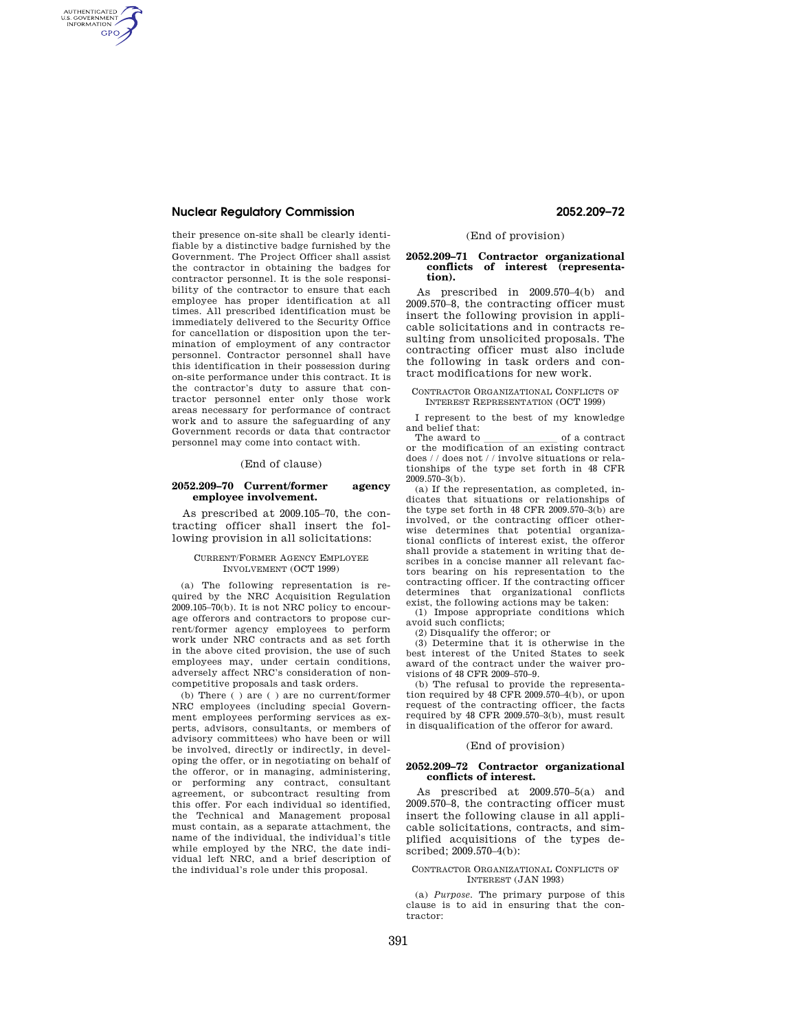## **Nuclear Regulatory Commission 2052.209–72**

AUTHENTICATED<br>U.S. GOVERNMENT<br>INFORMATION **GPO** 

> their presence on-site shall be clearly identifiable by a distinctive badge furnished by the Government. The Project Officer shall assist the contractor in obtaining the badges for contractor personnel. It is the sole responsibility of the contractor to ensure that each employee has proper identification at all times. All prescribed identification must be immediately delivered to the Security Office for cancellation or disposition upon the termination of employment of any contractor personnel. Contractor personnel shall have this identification in their possession during on-site performance under this contract. It is the contractor's duty to assure that contractor personnel enter only those work areas necessary for performance of contract work and to assure the safeguarding of any Government records or data that contractor personnel may come into contact with.

#### (End of clause)

#### **2052.209–70 Current/former agency employee involvement.**

As prescribed at 2009.105–70, the contracting officer shall insert the following provision in all solicitations:

## CURRENT/FORMER AGENCY EMPLOYEE INVOLVEMENT (OCT 1999)

(a) The following representation is required by the NRC Acquisition Regulation 2009.105–70(b). It is not NRC policy to encourage offerors and contractors to propose current/former agency employees to perform work under NRC contracts and as set forth in the above cited provision, the use of such employees may, under certain conditions, adversely affect NRC's consideration of noncompetitive proposals and task orders.

(b) There ( ) are ( ) are no current/former NRC employees (including special Government employees performing services as experts, advisors, consultants, or members of advisory committees) who have been or will be involved, directly or indirectly, in developing the offer, or in negotiating on behalf of the offeror, or in managing, administering, or performing any contract, consultant agreement, or subcontract resulting from this offer. For each individual so identified, the Technical and Management proposal must contain, as a separate attachment, the name of the individual, the individual's title while employed by the NRC, the date individual left NRC, and a brief description of the individual's role under this proposal.

# (End of provision)

#### **2052.209–71 Contractor organizational conflicts of interest (representation).**

As prescribed in 2009.570–4(b) and 2009.570–8, the contracting officer must insert the following provision in applicable solicitations and in contracts resulting from unsolicited proposals. The contracting officer must also include the following in task orders and contract modifications for new work.

#### CONTRACTOR ORGANIZATIONAL CONFLICTS OF INTEREST REPRESENTATION (OCT 1999)

I represent to the best of my knowledge and belief that:

The award to set of a contract or the modification of an existing contract does / / does not / / involve situations or relationships of the type set forth in 48 CFR  $2009.570 - 3(b)$ .

(a) If the representation, as completed, indicates that situations or relationships of the type set forth in 48 CFR 2009.570–3(b) are involved, or the contracting officer otherwise determines that potential organizational conflicts of interest exist, the offeror shall provide a statement in writing that describes in a concise manner all relevant factors bearing on his representation to the contracting officer. If the contracting officer determines that organizational conflicts exist, the following actions may be taken:

(1) Impose appropriate conditions which avoid such conflicts;

(2) Disqualify the offeror; or

(3) Determine that it is otherwise in the best interest of the United States to seek award of the contract under the waiver provisions of 48 CFR 2009–570–9.

(b) The refusal to provide the representation required by 48 CFR 2009.570–4(b), or upon request of the contracting officer, the facts required by 48 CFR 2009.570–3(b), must result in disqualification of the offeror for award.

## (End of provision)

#### **2052.209–72 Contractor organizational conflicts of interest.**

As prescribed at 2009.570–5(a) and 2009.570–8, the contracting officer must insert the following clause in all applicable solicitations, contracts, and simplified acquisitions of the types described; 2009.570–4(b):

#### CONTRACTOR ORGANIZATIONAL CONFLICTS OF INTEREST (JAN 1993)

(a) *Purpose.* The primary purpose of this clause is to aid in ensuring that the contractor: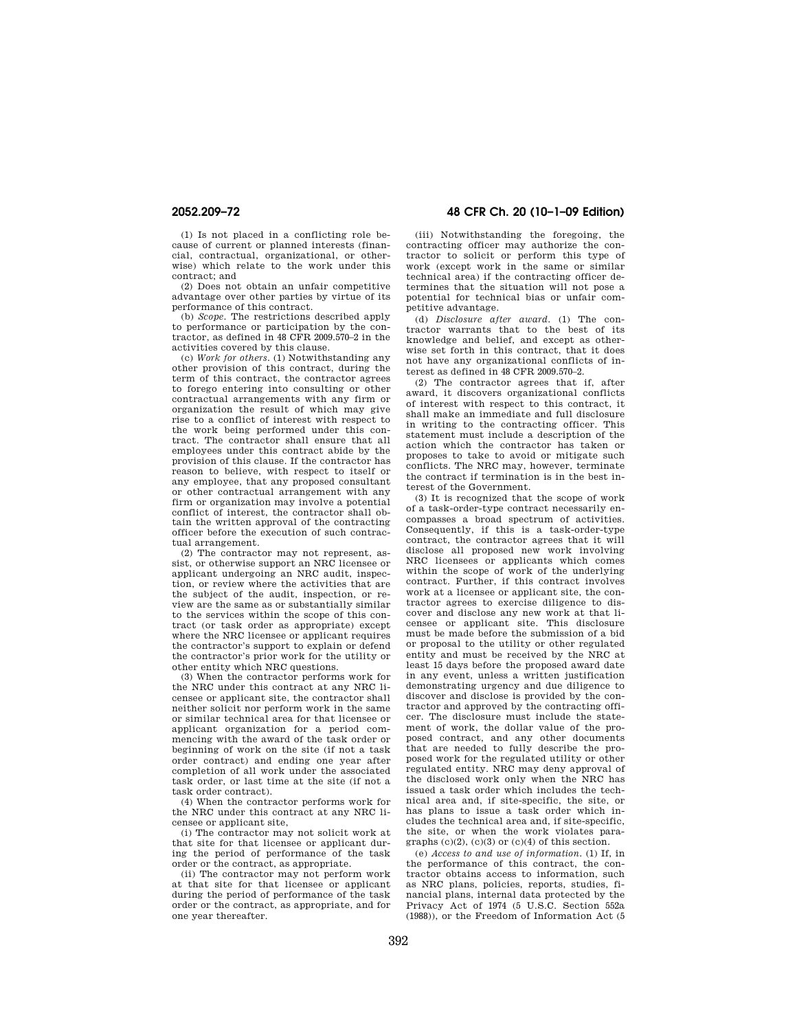**2052.209–72 48 CFR Ch. 20 (10–1–09 Edition)** 

(1) Is not placed in a conflicting role because of current or planned interests (financial, contractual, organizational, or otherwise) which relate to the work under this contract; and

(2) Does not obtain an unfair competitive advantage over other parties by virtue of its performance of this contract.

(b) *Scope.* The restrictions described apply to performance or participation by the contractor, as defined in 48 CFR 2009.570–2 in the activities covered by this clause.

(c) *Work for others.* (1) Notwithstanding any other provision of this contract, during the term of this contract, the contractor agrees to forego entering into consulting or other contractual arrangements with any firm or organization the result of which may give rise to a conflict of interest with respect to the work being performed under this contract. The contractor shall ensure that all employees under this contract abide by the provision of this clause. If the contractor has reason to believe, with respect to itself or any employee, that any proposed consultant or other contractual arrangement with any firm or organization may involve a potential conflict of interest, the contractor shall obtain the written approval of the contracting officer before the execution of such contractual arrangement.

(2) The contractor may not represent, assist, or otherwise support an NRC licensee or applicant undergoing an NRC audit, inspection, or review where the activities that are the subject of the audit, inspection, or review are the same as or substantially similar to the services within the scope of this contract (or task order as appropriate) except where the NRC licensee or applicant requires the contractor's support to explain or defend the contractor's prior work for the utility or other entity which NRC questions.

(3) When the contractor performs work for the NRC under this contract at any NRC licensee or applicant site, the contractor shall neither solicit nor perform work in the same or similar technical area for that licensee or applicant organization for a period commencing with the award of the task order or beginning of work on the site (if not a task order contract) and ending one year after completion of all work under the associated task order, or last time at the site (if not a task order contract).

(4) When the contractor performs work for the NRC under this contract at any NRC licensee or applicant site,

(i) The contractor may not solicit work at that site for that licensee or applicant during the period of performance of the task order or the contract, as appropriate.

(ii) The contractor may not perform work at that site for that licensee or applicant during the period of performance of the task order or the contract, as appropriate, and for one year thereafter.

(iii) Notwithstanding the foregoing, the contracting officer may authorize the contractor to solicit or perform this type of work (except work in the same or similar technical area) if the contracting officer determines that the situation will not pose a potential for technical bias or unfair competitive advantage.

(d) *Disclosure after award.* (1) The contractor warrants that to the best of its knowledge and belief, and except as otherwise set forth in this contract, that it does not have any organizational conflicts of interest as defined in 48 CFR 2009.570–2.

(2) The contractor agrees that if, after award, it discovers organizational conflicts of interest with respect to this contract, it shall make an immediate and full disclosure in writing to the contracting officer. This statement must include a description of the action which the contractor has taken or proposes to take to avoid or mitigate such conflicts. The NRC may, however, terminate the contract if termination is in the best interest of the Government.

(3) It is recognized that the scope of work of a task-order-type contract necessarily encompasses a broad spectrum of activities. Consequently, if this is a task-order-type contract, the contractor agrees that it will disclose all proposed new work involving NRC licensees or applicants which comes within the scope of work of the underlying contract. Further, if this contract involves work at a licensee or applicant site, the contractor agrees to exercise diligence to discover and disclose any new work at that licensee or applicant site. This disclosure must be made before the submission of a bid or proposal to the utility or other regulated entity and must be received by the NRC at least 15 days before the proposed award date in any event, unless a written justification demonstrating urgency and due diligence to discover and disclose is provided by the contractor and approved by the contracting officer. The disclosure must include the statement of work, the dollar value of the proposed contract, and any other documents that are needed to fully describe the proposed work for the regulated utility or other regulated entity. NRC may deny approval of the disclosed work only when the NRC has issued a task order which includes the technical area and, if site-specific, the site, or has plans to issue a task order which includes the technical area and, if site-specific, the site, or when the work violates paragraphs  $(c)(2)$ ,  $(c)(3)$  or  $(c)(4)$  of this section.

(e) *Access to and use of information.* (1) If, in the performance of this contract, the contractor obtains access to information, such as NRC plans, policies, reports, studies, financial plans, internal data protected by the Privacy Act of 1974 (5 U.S.C. Section 552a (1988)), or the Freedom of Information Act (5